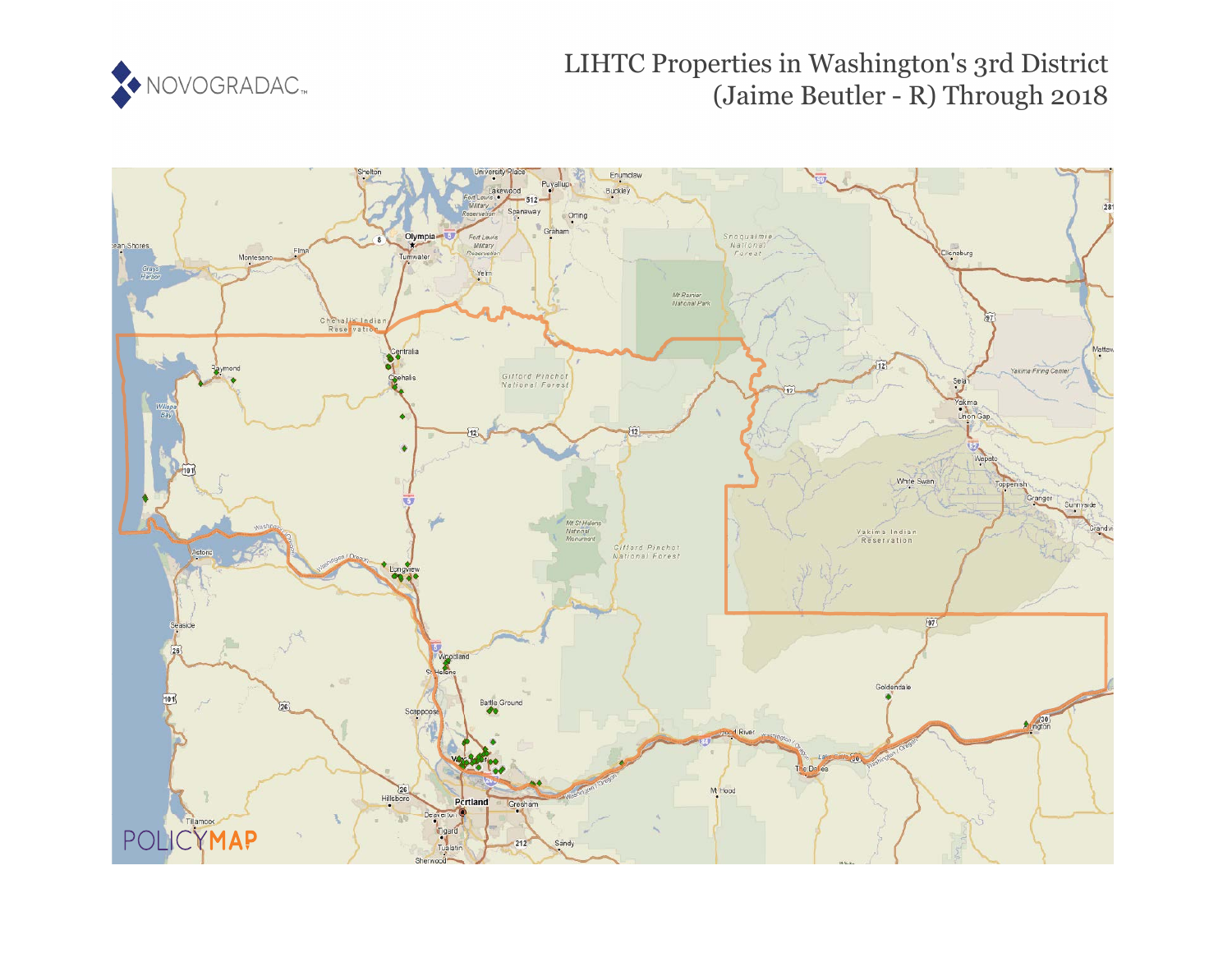

# LIHTC Properties in Washington's 3rd District (Jaime Beutler - R) Through 2018

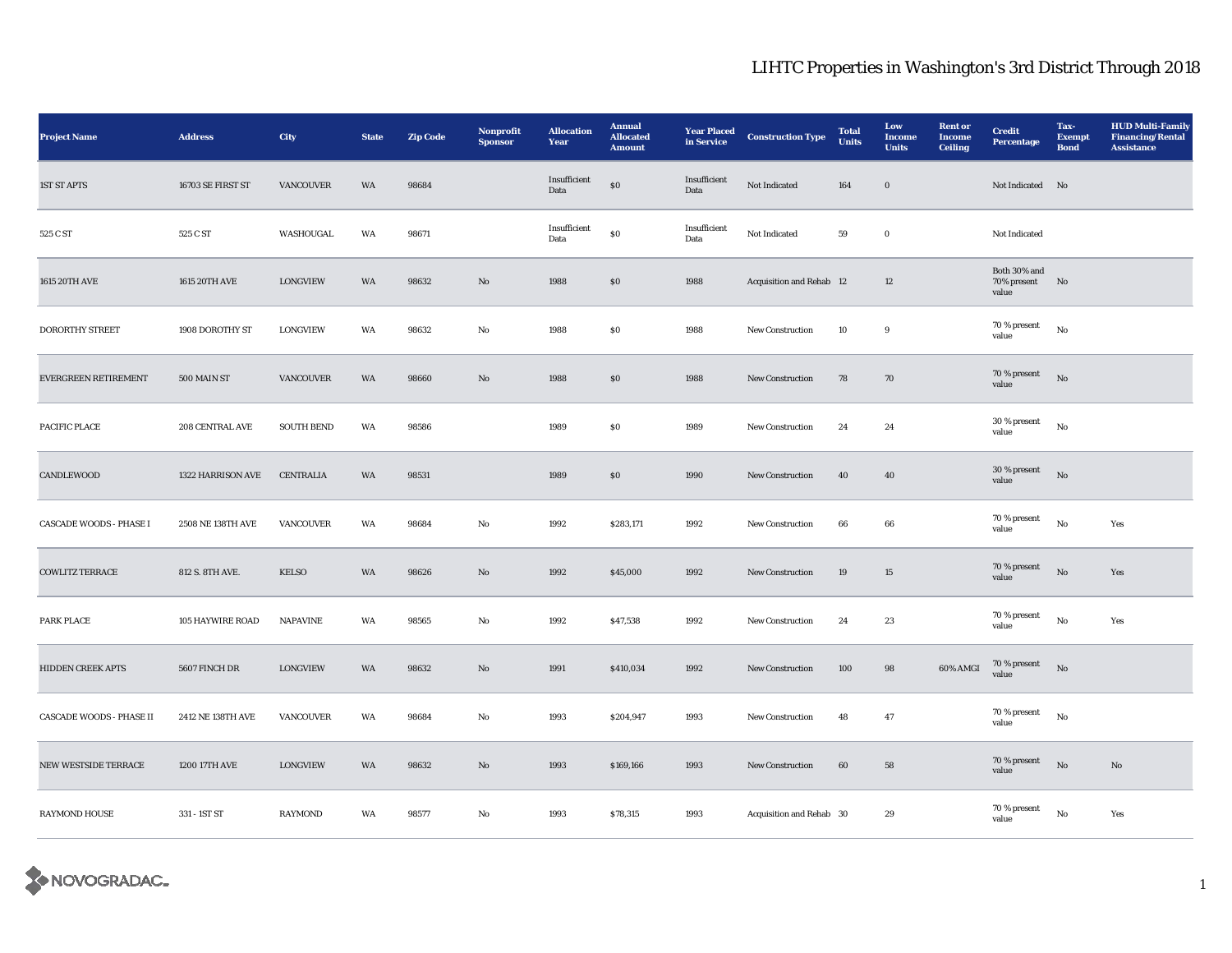| Project Name                    | <b>Address</b>    | City              | <b>State</b> | <b>Zip Code</b> | Nonprofit<br><b>Sponsor</b> | <b>Allocation</b><br>Year | <b>Annual</b><br><b>Allocated</b><br><b>Amount</b> | <b>Year Placed</b><br>in Service | <b>Construction Type</b> | <b>Total</b><br><b>Units</b> | Low<br><b>Income</b><br><b>Units</b> | <b>Rent</b> or<br><b>Income</b><br><b>Ceiling</b> | <b>Credit</b><br><b>Percentage</b>   | Tax-<br><b>Exempt</b><br><b>Bond</b> | <b>HUD Multi-Family</b><br><b>Financing/Rental</b><br><b>Assistance</b> |
|---------------------------------|-------------------|-------------------|--------------|-----------------|-----------------------------|---------------------------|----------------------------------------------------|----------------------------------|--------------------------|------------------------------|--------------------------------------|---------------------------------------------------|--------------------------------------|--------------------------------------|-------------------------------------------------------------------------|
| <b>1ST ST APTS</b>              | 16703 SE FIRST ST | <b>VANCOUVER</b>  | WA           | 98684           |                             | Insufficient<br>Data      | ${\bf S0}$                                         | Insufficient<br>Data             | Not Indicated            | 164                          | $\bf{0}$                             |                                                   | Not Indicated No                     |                                      |                                                                         |
| 525 C ST                        | 525 C ST          | WASHOUGAL         | WA           | 98671           |                             | Insufficient<br>Data      | $\$0$                                              | Insufficient<br>Data             | Not Indicated            | 59                           | $\mathbf 0$                          |                                                   | Not Indicated                        |                                      |                                                                         |
| 1615 20TH AVE                   | 1615 20TH AVE     | <b>LONGVIEW</b>   | WA           | 98632           | $\mathbf{N}\mathbf{o}$      | 1988                      | \$0\$                                              | 1988                             | Acquisition and Rehab 12 |                              | 12                                   |                                                   | Both 30% and<br>70% present<br>value | N <sub>o</sub>                       |                                                                         |
| <b>DORORTHY STREET</b>          | 1908 DOROTHY ST   | <b>LONGVIEW</b>   | WA           | 98632           | No                          | 1988                      | ${\bf S0}$                                         | 1988                             | <b>New Construction</b>  | 10                           | 9                                    |                                                   | 70 % present<br>value                | $_{\rm No}$                          |                                                                         |
| EVERGREEN RETIREMENT            | 500 MAIN ST       | <b>VANCOUVER</b>  | WA           | 98660           | $\mathbf{No}$               | 1988                      | $\$0$                                              | 1988                             | New Construction         | 78                           | 70                                   |                                                   | 70 % present<br>value                | $_{\rm No}$                          |                                                                         |
| PACIFIC PLACE                   | 208 CENTRAL AVE   | <b>SOUTH BEND</b> | WA           | 98586           |                             | 1989                      | $\$0$                                              | 1989                             | New Construction         | 24                           | 24                                   |                                                   | 30 % present<br>value                | $_{\rm No}$                          |                                                                         |
| CANDLEWOOD                      | 1322 HARRISON AVE | <b>CENTRALIA</b>  | WA           | 98531           |                             | 1989                      | $\boldsymbol{\mathsf{S}}\boldsymbol{\mathsf{0}}$   | 1990                             | <b>New Construction</b>  | 40                           | 40                                   |                                                   | 30 % present<br>value                | No                                   |                                                                         |
| <b>CASCADE WOODS - PHASE I</b>  | 2508 NE 138TH AVE | <b>VANCOUVER</b>  | WA           | 98684           | No                          | 1992                      | \$283,171                                          | 1992                             | <b>New Construction</b>  | 66                           | 66                                   |                                                   | 70 % present<br>value                | No                                   | Yes                                                                     |
| <b>COWLITZ TERRACE</b>          | 812 S. 8TH AVE.   | <b>KELSO</b>      | WA           | 98626           | $\rm No$                    | 1992                      | \$45,000                                           | 1992                             | New Construction         | $19\,$                       | $15\,$                               |                                                   | $70\,\%$ present<br>value            | $\rm No$                             | Yes                                                                     |
| PARK PLACE                      | 105 HAYWIRE ROAD  | <b>NAPAVINE</b>   | WA           | 98565           | $\rm No$                    | 1992                      | \$47,538                                           | 1992                             | New Construction         | 24                           | $\bf 23$                             |                                                   | 70 % present<br>value                | $\rm No$                             | Yes                                                                     |
| HIDDEN CREEK APTS               | 5607 FINCH DR     | <b>LONGVIEW</b>   | WA           | 98632           | $\mathbf{N}\mathbf{o}$      | 1991                      | \$410,034                                          | 1992                             | New Construction         | 100                          | $\bf{98}$                            | 60% AMGI                                          | $70\,\%$ present<br>value            | No                                   |                                                                         |
| <b>CASCADE WOODS - PHASE II</b> | 2412 NE 138TH AVE | <b>VANCOUVER</b>  | WA           | 98684           | No                          | 1993                      | \$204,947                                          | 1993                             | <b>New Construction</b>  | 48                           | 47                                   |                                                   | 70 % present<br>value                | No                                   |                                                                         |
| NEW WESTSIDE TERRACE            | 1200 17TH AVE     | <b>LONGVIEW</b>   | WA           | 98632           | $\mathbf{No}$               | 1993                      | \$169,166                                          | 1993                             | New Construction         | $\bf{60}$                    | ${\bf 58}$                           |                                                   | $70\,\%$ present<br>value            | $_{\rm No}$                          | $\mathbf{No}$                                                           |
| RAYMOND HOUSE                   | 331 - 1ST ST      | <b>RAYMOND</b>    | WA           | 98577           | No                          | 1993                      | \$78,315                                           | 1993                             | Acquisition and Rehab 30 |                              | $\boldsymbol{29}$                    |                                                   | 70 % present<br>value                | $\rm\, No$                           | Yes                                                                     |

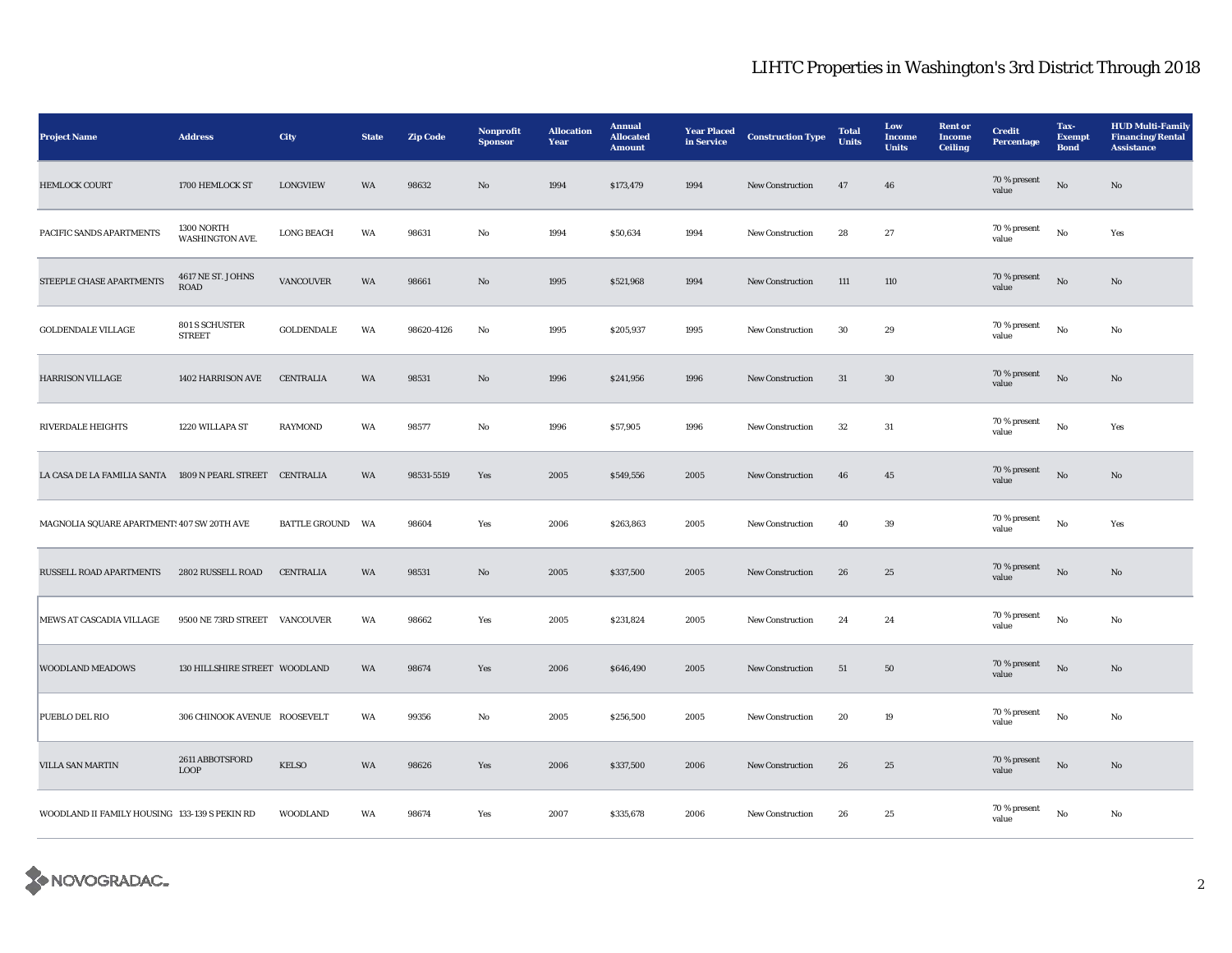| <b>Project Name</b>                                       | <b>Address</b>                   | City                 | <b>State</b> | <b>Zip Code</b> | <b>Nonprofit</b><br><b>Sponsor</b>                                                    | <b>Allocation</b><br>Year | <b>Annual</b><br><b>Allocated</b><br><b>Amount</b> | <b>Year Placed</b><br>in Service | <b>Construction Type</b> | <b>Total</b><br><b>Units</b> | Low<br><b>Income</b><br><b>Units</b> | <b>Rent or</b><br><b>Income</b><br><b>Ceiling</b> | <b>Credit</b><br>Percentage | Tax-<br><b>Exempt</b><br><b>Bond</b> | <b>HUD Multi-Family</b><br><b>Financing/Rental</b><br><b>Assistance</b> |
|-----------------------------------------------------------|----------------------------------|----------------------|--------------|-----------------|---------------------------------------------------------------------------------------|---------------------------|----------------------------------------------------|----------------------------------|--------------------------|------------------------------|--------------------------------------|---------------------------------------------------|-----------------------------|--------------------------------------|-------------------------------------------------------------------------|
| <b>HEMLOCK COURT</b>                                      | 1700 HEMLOCK ST                  | <b>LONGVIEW</b>      | WA           | 98632           | $\mathbf{N}\mathbf{o}$                                                                | 1994                      | \$173,479                                          | 1994                             | New Construction         | 47                           | 46                                   |                                                   | 70 % present<br>value       | $\rm\thinspace No$                   | $\mathbf{N}\mathbf{o}$                                                  |
| PACIFIC SANDS APARTMENTS                                  | 1300 NORTH<br>WASHINGTON AVE.    | <b>LONG BEACH</b>    | WA           | 98631           | No                                                                                    | 1994                      | \$50,634                                           | 1994                             | <b>New Construction</b>  | 28                           | $\bf 27$                             |                                                   | 70 % present<br>value       | $\rm No$                             | Yes                                                                     |
| STEEPLE CHASE APARTMENTS                                  | 4617 NE ST. JOHNS<br><b>ROAD</b> | <b>VANCOUVER</b>     | WA           | 98661           | $\mathbf{N}\mathbf{o}$                                                                | 1995                      | \$521,968                                          | 1994                             | <b>New Construction</b>  | 111                          | 110                                  |                                                   | 70 % present<br>value       | $_{\rm No}$                          | No                                                                      |
| <b>GOLDENDALE VILLAGE</b>                                 | 801 S SCHUSTER<br><b>STREET</b>  | <b>GOLDENDALE</b>    | WA           | 98620-4126      | No                                                                                    | 1995                      | \$205,937                                          | 1995                             | <b>New Construction</b>  | 30                           | $\boldsymbol{29}$                    |                                                   | 70 % present<br>value       | $\rm No$                             | No                                                                      |
| <b>HARRISON VILLAGE</b>                                   | 1402 HARRISON AVE                | CENTRALIA            | WA           | 98531           | $\mathbf{No}$                                                                         | 1996                      | \$241,956                                          | 1996                             | New Construction         | 31                           | $30\,$                               |                                                   | 70 % present<br>value       | $\rm\thinspace No$                   | $\mathbf{N}\mathbf{o}$                                                  |
| <b>RIVERDALE HEIGHTS</b>                                  | 1220 WILLAPA ST                  | <b>RAYMOND</b>       | WA           | 98577           | No                                                                                    | 1996                      | \$57,905                                           | 1996                             | <b>New Construction</b>  | 32                           | 31                                   |                                                   | 70 % present<br>value       | $\rm No$                             | Yes                                                                     |
| LA CASA DE LA FAMILIA SANTA 1809 N PEARL STREET CENTRALIA |                                  |                      | WA           | 98531-5519      | Yes                                                                                   | 2005                      | \$549,556                                          | 2005                             | New Construction         | ${\bf 46}$                   | $45\,$                               |                                                   | 70 % present<br>value       | $\rm No$                             | $\mathbf{N}\mathbf{o}$                                                  |
| MAGNOLIA SQUARE APARTMENT! 407 SW 20TH AVE                |                                  | <b>BATTLE GROUND</b> | WA           | 98604           | Yes                                                                                   | 2006                      | \$263,863                                          | 2005                             | New Construction         | 40                           | $39\,$                               |                                                   | 70 % present<br>value       | $\rm\, No$                           | Yes                                                                     |
| <b>RUSSELL ROAD APARTMENTS</b>                            | 2802 RUSSELL ROAD                | <b>CENTRALIA</b>     | WA           | 98531           | $\mathbf{N}\mathbf{o}$                                                                | 2005                      | \$337,500                                          | 2005                             | New Construction         | 26                           | 25                                   |                                                   | $70\,\%$ present<br>value   | $_{\rm No}$                          | No                                                                      |
| MEWS AT CASCADIA VILLAGE                                  | 9500 NE 73RD STREET VANCOUVER    |                      | WA           | 98662           | $\operatorname*{Yes}% \left( X\right) \equiv\operatorname*{Yes}(\mathbb{R}^{3}\left)$ | 2005                      | \$231,824                                          | 2005                             | New Construction         | 24                           | $\bf 24$                             |                                                   | 70 % present<br>value       | $\rm No$                             | No                                                                      |
| <b>WOODLAND MEADOWS</b>                                   | 130 HILLSHIRE STREET WOODLAND    |                      | WA           | 98674           | Yes                                                                                   | 2006                      | \$646,490                                          | 2005                             | New Construction         | 51                           | 50                                   |                                                   | 70 % present<br>value       | $\rm\thinspace No$                   | $\mathbf{No}$                                                           |
| PUEBLO DEL RIO                                            | 306 CHINOOK AVENUE ROOSEVELT     |                      | WA           | 99356           | No                                                                                    | 2005                      | \$256,500                                          | 2005                             | New Construction         | 20                           | 19                                   |                                                   | 70 % present<br>value       | $\rm No$                             | No                                                                      |
| VILLA SAN MARTIN                                          | 2611 ABBOTSFORD<br><b>LOOP</b>   | <b>KELSO</b>         | WA           | 98626           | Yes                                                                                   | 2006                      | \$337,500                                          | 2006                             | <b>New Construction</b>  | ${\bf 26}$                   | $25\,$                               |                                                   | 70 % present<br>value       | $\rm\thinspace No$                   | No                                                                      |
| WOODLAND II FAMILY HOUSING 133-139 S PEKIN RD             |                                  | <b>WOODLAND</b>      | WA           | 98674           | Yes                                                                                   | 2007                      | \$335,678                                          | 2006                             | <b>New Construction</b>  | 26                           | 25                                   |                                                   | 70 % present<br>value       | No                                   | No                                                                      |

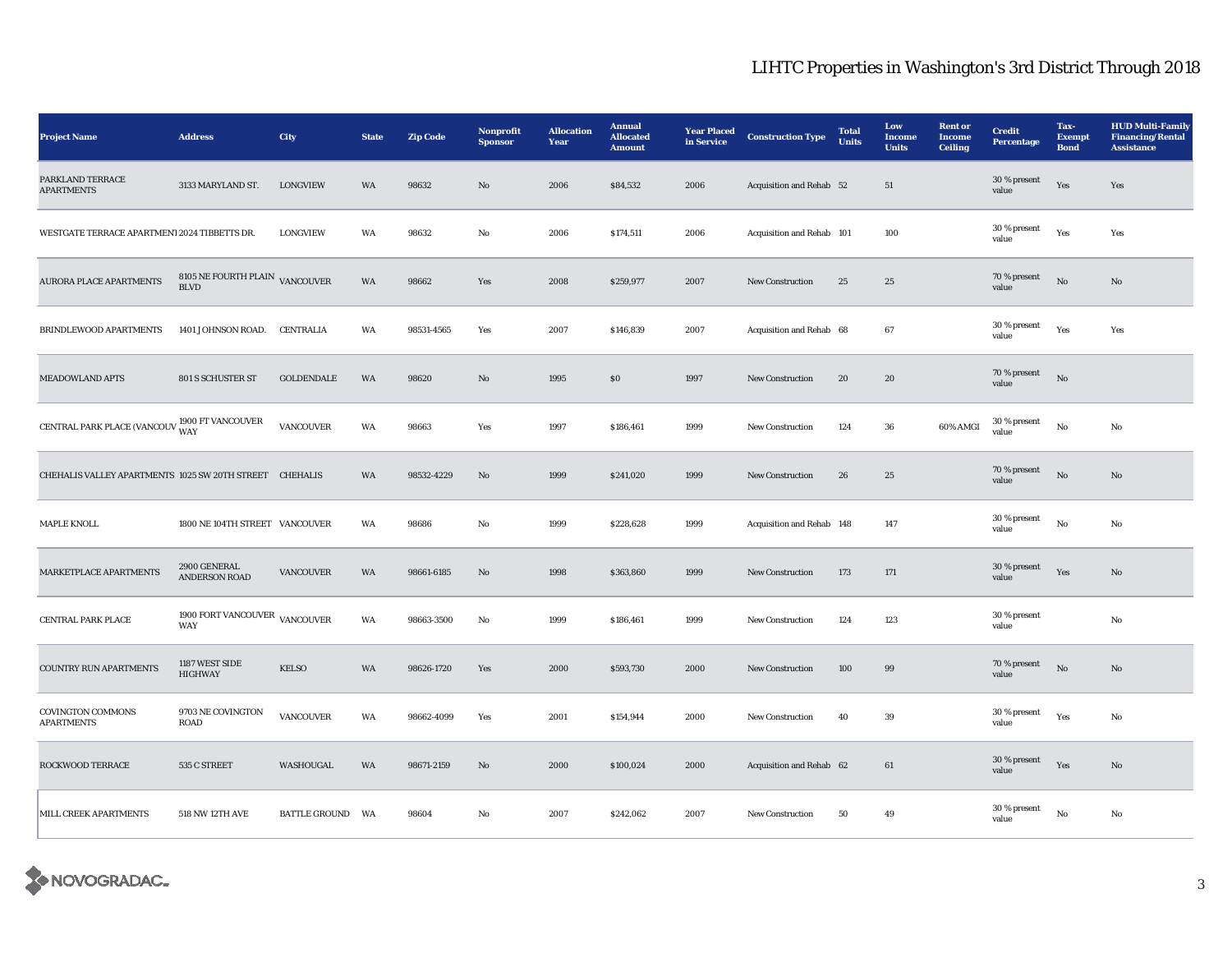| <b>Project Name</b>                                     | <b>Address</b>                                 | <b>City</b>             | <b>State</b> | <b>Zip Code</b> | Nonprofit<br><b>Sponsor</b> | <b>Allocation</b><br>Year | <b>Annual</b><br><b>Allocated</b><br><b>Amount</b> | <b>Year Placed</b><br>in Service | <b>Construction Type</b>  | <b>Total</b><br><b>Units</b> | Low<br><b>Income</b><br><b>Units</b> | <b>Rent</b> or<br><b>Income</b><br><b>Ceiling</b> | <b>Credit</b><br>Percentage | Tax-<br><b>Exempt</b><br><b>Bond</b> | <b>HUD Multi-Family</b><br><b>Financing/Rental</b><br><b>Assistance</b> |
|---------------------------------------------------------|------------------------------------------------|-------------------------|--------------|-----------------|-----------------------------|---------------------------|----------------------------------------------------|----------------------------------|---------------------------|------------------------------|--------------------------------------|---------------------------------------------------|-----------------------------|--------------------------------------|-------------------------------------------------------------------------|
| PARKLAND TERRACE<br><b>APARTMENTS</b>                   | 3133 MARYLAND ST.                              | <b>LONGVIEW</b>         | WA           | 98632           | $\mathbf{N}\mathbf{o}$      | 2006                      | \$84,532                                           | 2006                             | Acquisition and Rehab 52  |                              | 51                                   |                                                   | 30 % present<br>value       | Yes                                  | Yes                                                                     |
| WESTGATE TERRACE APARTMENT 2024 TIBBETTS DR.            |                                                | <b>LONGVIEW</b>         | WA           | 98632           | No                          | 2006                      | \$174,511                                          | 2006                             | Acquisition and Rehab 101 |                              | 100                                  |                                                   | 30 % present<br>value       | Yes                                  | Yes                                                                     |
| <b>AURORA PLACE APARTMENTS</b>                          | 8105 NE FOURTH PLAIN VANCOUVER<br><b>BLVD</b>  |                         | WA           | 98662           | Yes                         | 2008                      | \$259,977                                          | 2007                             | <b>New Construction</b>   | 25                           | 25                                   |                                                   | 70 % present<br>value       | $\rm No$                             | No                                                                      |
| BRINDLEWOOD APARTMENTS                                  | 1401 JOHNSON ROAD.                             | CENTRALIA               | WA           | 98531-4565      | Yes                         | 2007                      | \$146,839                                          | 2007                             | Acquisition and Rehab 68  |                              | 67                                   |                                                   | 30 % present<br>value       | Yes                                  | Yes                                                                     |
| <b>MEADOWLAND APTS</b>                                  | 801 S SCHUSTER ST                              | <b>GOLDENDALE</b>       | WA           | 98620           | No                          | 1995                      | ${\bf S0}$                                         | 1997                             | <b>New Construction</b>   | 20                           | ${\bf 20}$                           |                                                   | 70 % present<br>value       | $_{\rm No}$                          |                                                                         |
| CENTRAL PARK PLACE (VANCOUV WAY WAY                     |                                                | <b>VANCOUVER</b>        | WA           | 98663           | Yes                         | 1997                      | \$186,461                                          | 1999                             | New Construction          | 124                          | ${\bf 36}$                           | 60% AMGI                                          | 30 % present<br>value       | $_{\rm No}$                          | $\rm No$                                                                |
| CHEHALIS VALLEY APARTMENTS 1025 SW 20TH STREET CHEHALIS |                                                |                         | WA           | 98532-4229      | $\mathbf{N}\mathbf{o}$      | 1999                      | \$241,020                                          | 1999                             | New Construction          | 26                           | 25                                   |                                                   | 70 % present<br>value       | $_{\rm No}$                          | $\mathbf{N}\mathbf{o}$                                                  |
| MAPLE KNOLL                                             | 1800 NE 104TH STREET VANCOUVER                 |                         | WA           | 98686           | No                          | 1999                      | \$228,628                                          | 1999                             | Acquisition and Rehab 148 |                              | 147                                  |                                                   | 30 % present<br>value       | No                                   | No                                                                      |
| MARKETPLACE APARTMENTS                                  | 2900 GENERAL<br><b>ANDERSON ROAD</b>           | VANCOUVER               | WA           | 98661-6185      | $\mathbf{N}\mathbf{o}$      | 1998                      | \$363,860                                          | 1999                             | New Construction          | 173                          | 171                                  |                                                   | 30 % present<br>value       | Yes                                  | $\mathbf{No}$                                                           |
| CENTRAL PARK PLACE                                      | 1900 FORT VANCOUVER $\,$ VANCOUVER $\,$<br>WAY |                         | WA           | 98663-3500      | No                          | 1999                      | \$186,461                                          | 1999                             | New Construction          | 124                          | 123                                  |                                                   | 30 % present<br>value       |                                      | $_{\rm No}$                                                             |
| COUNTRY RUN APARTMENTS                                  | 1187 WEST SIDE<br>HIGHWAY                      | <b>KELSO</b>            | WA           | 98626-1720      | Yes                         | 2000                      | \$593,730                                          | 2000                             | New Construction          | 100                          | 99                                   |                                                   | 70 % present<br>value       | $_{\rm No}$                          | $\mathbf{No}$                                                           |
| <b>COVINGTON COMMONS</b><br><b>APARTMENTS</b>           | 9703 NE COVINGTON<br><b>ROAD</b>               | VANCOUVER               | WA           | 98662-4099      | Yes                         | 2001                      | \$154,944                                          | 2000                             | <b>New Construction</b>   | 40                           | $39\,$                               |                                                   | 30 % present<br>value       | Yes                                  | No                                                                      |
| ROCKWOOD TERRACE                                        | 535 C STREET                                   | WASHOUGAL               | WA           | 98671-2159      | $\mathbf{N}\mathbf{o}$      | 2000                      | \$100,024                                          | 2000                             | Acquisition and Rehab 62  |                              | 61                                   |                                                   | $30$ % present<br>value     | Yes                                  | No                                                                      |
| MILL CREEK APARTMENTS                                   | 518 NW 12TH AVE                                | <b>BATTLE GROUND WA</b> |              | 98604           | No                          | 2007                      | \$242,062                                          | 2007                             | <b>New Construction</b>   | 50                           | 49                                   |                                                   | 30 % present<br>value       | $_{\rm No}$                          | $_{\rm No}$                                                             |

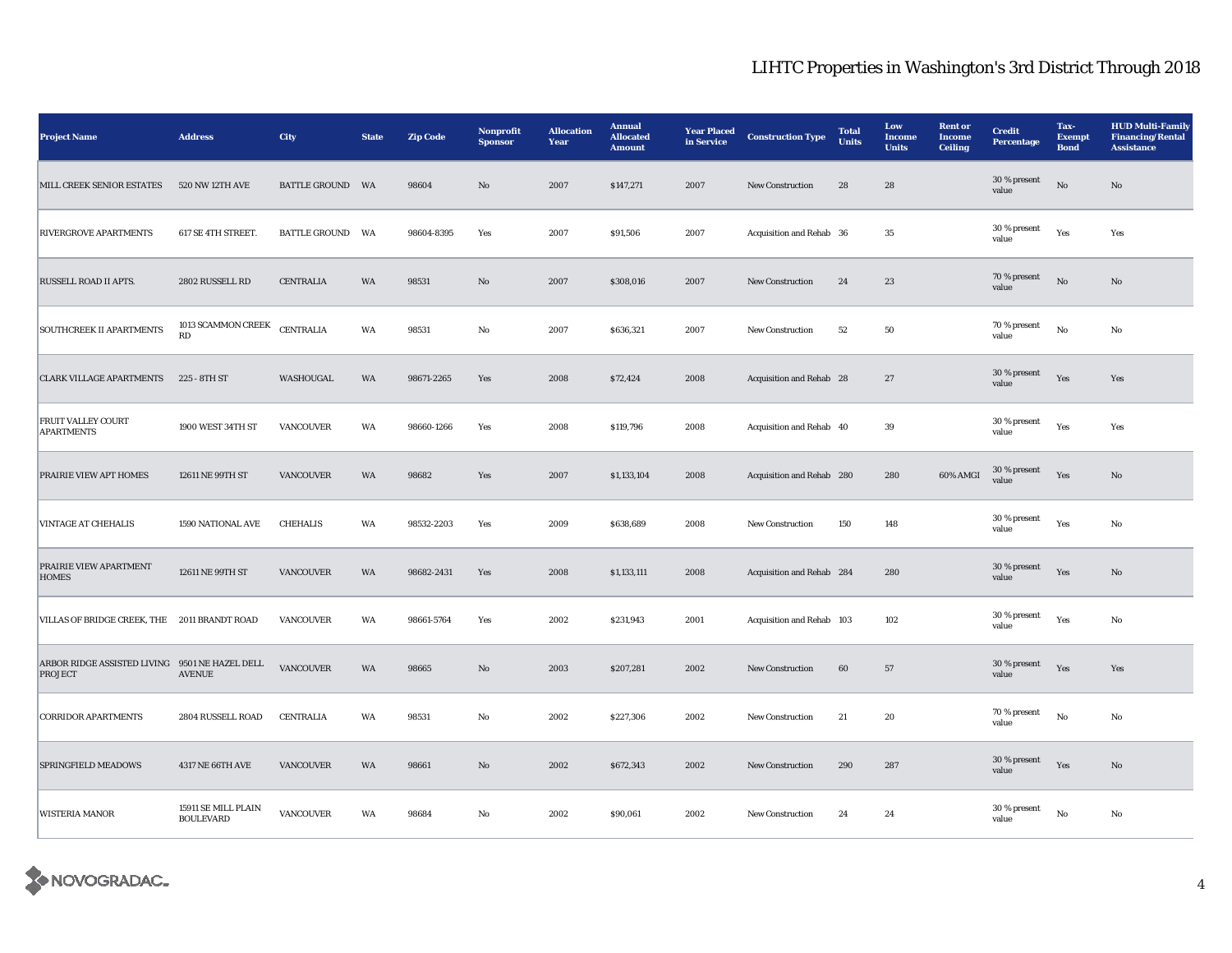| <b>Project Name</b>                                              | <b>Address</b>                          | City                    | <b>State</b> | <b>Zip Code</b> | <b>Nonprofit</b><br><b>Sponsor</b> | <b>Allocation</b><br>Year | <b>Annual</b><br><b>Allocated</b><br><b>Amount</b> | <b>Year Placed</b><br>in Service | <b>Construction Type</b>  | <b>Total</b><br><b>Units</b> | Low<br><b>Income</b><br><b>Units</b> | <b>Rent</b> or<br><b>Income</b><br><b>Ceiling</b> | <b>Credit</b><br><b>Percentage</b> | Tax-<br><b>Exempt</b><br><b>Bond</b> | <b>HUD Multi-Family</b><br><b>Financing/Rental</b><br><b>Assistance</b> |
|------------------------------------------------------------------|-----------------------------------------|-------------------------|--------------|-----------------|------------------------------------|---------------------------|----------------------------------------------------|----------------------------------|---------------------------|------------------------------|--------------------------------------|---------------------------------------------------|------------------------------------|--------------------------------------|-------------------------------------------------------------------------|
| MILL CREEK SENIOR ESTATES                                        | 520 NW 12TH AVE                         | <b>BATTLE GROUND WA</b> |              | 98604           | $\rm No$                           | 2007                      | \$147,271                                          | 2007                             | New Construction          | 28                           | 28                                   |                                                   | 30 % present<br>value              | $_{\rm No}$                          | $\mathbf{N}\mathbf{o}$                                                  |
| <b>RIVERGROVE APARTMENTS</b>                                     | 617 SE 4TH STREET.                      | <b>BATTLE GROUND</b>    | WA           | 98604-8395      | Yes                                | 2007                      | \$91,506                                           | 2007                             | Acquisition and Rehab 36  |                              | $35\,$                               |                                                   | 30 % present<br>value              | Yes                                  | Yes                                                                     |
| RUSSELL ROAD II APTS.                                            | 2802 RUSSELL RD                         | <b>CENTRALIA</b>        | WA           | 98531           | No                                 | 2007                      | \$308,016                                          | 2007                             | <b>New Construction</b>   | 24                           | 23                                   |                                                   | $70\,\%$ present<br>value          | $\rm \bf No$                         | No                                                                      |
| <b>SOUTHCREEK II APARTMENTS</b>                                  | 1013 SCAMMON CREEK<br>RD                | <b>CENTRALIA</b>        | WA           | 98531           | $_{\rm No}$                        | 2007                      | \$636,321                                          | 2007                             | New Construction          | 52                           | 50                                   |                                                   | 70 % present<br>value              | $_{\rm No}$                          | $\rm No$                                                                |
| <b>CLARK VILLAGE APARTMENTS</b>                                  | 225 - 8TH ST                            | WASHOUGAL               | WA           | 98671-2265      | Yes                                | 2008                      | \$72,424                                           | 2008                             | Acquisition and Rehab 28  |                              | 27                                   |                                                   | 30 % present<br>value              | Yes                                  | Yes                                                                     |
| <b>FRUIT VALLEY COURT</b><br><b>APARTMENTS</b>                   | 1900 WEST 34TH ST                       | <b>VANCOUVER</b>        | WA           | 98660-1266      | Yes                                | 2008                      | \$119,796                                          | 2008                             | Acquisition and Rehab 40  |                              | 39                                   |                                                   | 30 % present<br>value              | Yes                                  | Yes                                                                     |
| PRAIRIE VIEW APT HOMES                                           | 12611 NE 99TH ST                        | <b>VANCOUVER</b>        | WA           | 98682           | Yes                                | 2007                      | \$1,133,104                                        | 2008                             | Acquisition and Rehab 280 |                              | 280                                  | 60% AMGI                                          | 30 % present<br>value              | Yes                                  | No                                                                      |
| <b>VINTAGE AT CHEHALIS</b>                                       | 1590 NATIONAL AVE                       | <b>CHEHALIS</b>         | WA           | 98532-2203      | Yes                                | 2009                      | \$638,689                                          | 2008                             | New Construction          | 150                          | 148                                  |                                                   | 30 % present<br>value              | Yes                                  | No                                                                      |
| PRAIRIE VIEW APARTMENT<br><b>HOMES</b>                           | 12611 NE 99TH ST                        | <b>VANCOUVER</b>        | WA           | 98682-2431      | Yes                                | 2008                      | \$1,133,111                                        | 2008                             | Acquisition and Rehab 284 |                              | 280                                  |                                                   | 30 % present<br>value              | Yes                                  | No                                                                      |
| VILLAS OF BRIDGE CREEK, THE 2011 BRANDT ROAD                     |                                         | <b>VANCOUVER</b>        | WA           | 98661-5764      | Yes                                | 2002                      | \$231,943                                          | 2001                             | Acquisition and Rehab 103 |                              | 102                                  |                                                   | 30 % present<br>value              | Yes                                  | $\rm No$                                                                |
| ARBOR RIDGE ASSISTED LIVING 9501 NE HAZEL DELL<br><b>PROJECT</b> | <b>AVENUE</b>                           | VANCOUVER               | WA           | 98665           | $\mathbf{No}$                      | 2003                      | \$207,281                                          | 2002                             | New Construction          | $\bf{60}$                    | ${\bf 57}$                           |                                                   | 30 % present<br>value              | Yes                                  | Yes                                                                     |
| <b>CORRIDOR APARTMENTS</b>                                       | 2804 RUSSELL ROAD                       | <b>CENTRALIA</b>        | WA           | 98531           | No                                 | 2002                      | \$227,306                                          | 2002                             | <b>New Construction</b>   | 21                           | 20                                   |                                                   | 70 % present<br>value              | $_{\rm No}$                          | No                                                                      |
| SPRINGFIELD MEADOWS                                              | 4317 NE 66TH AVE                        | <b>VANCOUVER</b>        | WA           | 98661           | $\mathbf{N}\mathbf{o}$             | 2002                      | \$672,343                                          | 2002                             | New Construction          | 290                          | 287                                  |                                                   | $30$ % present<br>value            | Yes                                  | No                                                                      |
| <b>WISTERIA MANOR</b>                                            | 15911 SE MILL PLAIN<br><b>BOULEVARD</b> | VANCOUVER               | WA           | 98684           | No                                 | 2002                      | \$90,061                                           | 2002                             | <b>New Construction</b>   | 24                           | 24                                   |                                                   | 30 % present<br>value              | $\rm No$                             | No                                                                      |

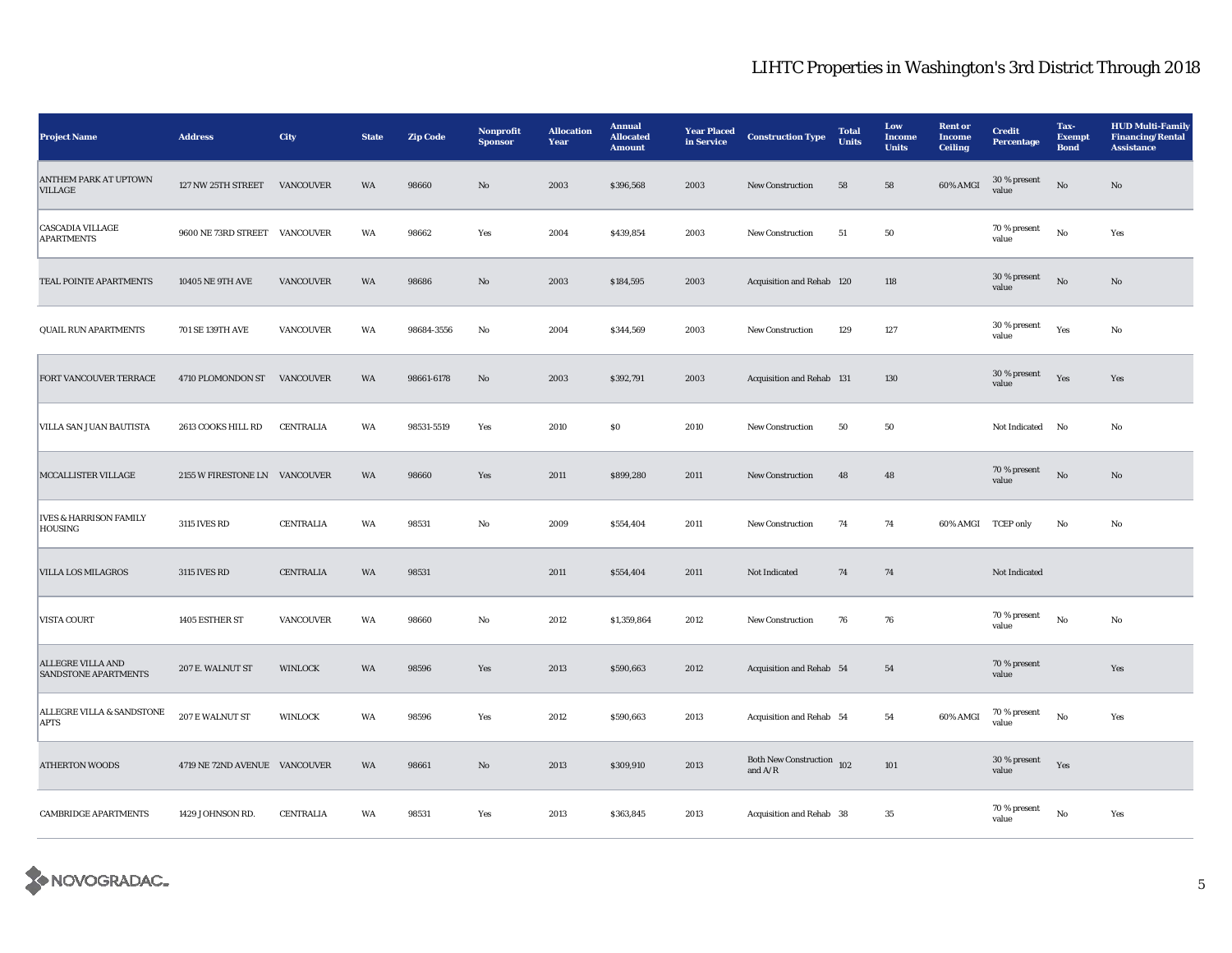| <b>Project Name</b>                                     | <b>Address</b>                | <b>City</b>      | <b>State</b> | <b>Zip Code</b> | Nonprofit<br><b>Sponsor</b> | <b>Allocation</b><br>Year | <b>Annual</b><br><b>Allocated</b><br><b>Amount</b> | <b>Year Placed</b><br>in Service | <b>Construction Type</b>                         | <b>Total</b><br><b>Units</b> | Low<br><b>Income</b><br><b>Units</b> | <b>Rent or</b><br><b>Income</b><br><b>Ceiling</b> | <b>Credit</b><br><b>Percentage</b> | Tax-<br><b>Exempt</b><br><b>Bond</b> | <b>HUD Multi-Family</b><br><b>Financing/Rental</b><br><b>Assistance</b> |
|---------------------------------------------------------|-------------------------------|------------------|--------------|-----------------|-----------------------------|---------------------------|----------------------------------------------------|----------------------------------|--------------------------------------------------|------------------------------|--------------------------------------|---------------------------------------------------|------------------------------------|--------------------------------------|-------------------------------------------------------------------------|
| ANTHEM PARK AT UPTOWN<br><b>VILLAGE</b>                 | 127 NW 25TH STREET            | VANCOUVER        | WA           | 98660           | $\mathbf{N}\mathbf{o}$      | 2003                      | \$396,568                                          | 2003                             | <b>New Construction</b>                          | 58                           | 58                                   | 60% AMGI                                          | 30 % present<br>value              | $\rm No$                             | No                                                                      |
| <b>CASCADIA VILLAGE</b><br><b>APARTMENTS</b>            | 9600 NE 73RD STREET VANCOUVER |                  | WA           | 98662           | Yes                         | 2004                      | \$439,854                                          | 2003                             | <b>New Construction</b>                          | 51                           | 50                                   |                                                   | 70 % present<br>value              | $\rm No$                             | Yes                                                                     |
| TEAL POINTE APARTMENTS                                  | <b>10405 NE 9TH AVE</b>       | <b>VANCOUVER</b> | WA           | 98686           | No                          | 2003                      | \$184,595                                          | 2003                             | Acquisition and Rehab 120                        |                              | 118                                  |                                                   | 30 % present<br>value              | $\rm No$                             | No                                                                      |
| <b>QUAIL RUN APARTMENTS</b>                             | 701 SE 139TH AVE              | <b>VANCOUVER</b> | WA           | 98684-3556      | $\rm No$                    | 2004                      | \$344,569                                          | 2003                             | New Construction                                 | 129                          | 127                                  |                                                   | 30 % present<br>value              | Yes                                  | $\rm No$                                                                |
| FORT VANCOUVER TERRACE                                  | 4710 PLOMONDON ST             | <b>VANCOUVER</b> | WA           | 98661-6178      | $\mathbf{N}\mathbf{o}$      | 2003                      | \$392,791                                          | 2003                             | Acquisition and Rehab 131                        |                              | 130                                  |                                                   | 30 % present<br>value              | Yes                                  | Yes                                                                     |
| VILLA SAN JUAN BAUTISTA                                 | 2613 COOKS HILL RD            | <b>CENTRALIA</b> | WA           | 98531-5519      | Yes                         | 2010                      | \$0\$                                              | 2010                             | <b>New Construction</b>                          | 50                           | 50                                   |                                                   | Not Indicated                      | No                                   | No                                                                      |
| MCCALLISTER VILLAGE                                     | 2155 W FIRESTONE LN VANCOUVER |                  | WA           | 98660           | Yes                         | 2011                      | \$899,280                                          | 2011                             | New Construction                                 | 48                           | $\bf 48$                             |                                                   | 70 % present<br>value              | $\rm No$                             | No                                                                      |
| <b>IVES &amp; HARRISON FAMILY</b><br><b>HOUSING</b>     | 3115 IVES RD                  | <b>CENTRALIA</b> | WA           | 98531           | $\rm No$                    | 2009                      | \$554,404                                          | 2011                             | New Construction                                 | 74                           | 74                                   | 60% AMGI                                          | <b>TCEP</b> only                   | $\rm No$                             | No                                                                      |
| <b>VILLA LOS MILAGROS</b>                               | 3115 IVES RD                  | <b>CENTRALIA</b> | WA           | 98531           |                             | 2011                      | \$554,404                                          | 2011                             | Not Indicated                                    | 74                           | 74                                   |                                                   | Not Indicated                      |                                      |                                                                         |
| VISTA COURT                                             | 1405 ESTHER ST                | VANCOUVER        | WA           | 98660           | No                          | 2012                      | \$1,359,864                                        | 2012                             | <b>New Construction</b>                          | 76                           | 76                                   |                                                   | 70 % present<br>value              | $_{\rm No}$                          | $\rm No$                                                                |
| <b>ALLEGRE VILLA AND</b><br><b>SANDSTONE APARTMENTS</b> | 207 E. WALNUT ST              | WINLOCK          | WA           | 98596           | Yes                         | 2013                      | \$590,663                                          | 2012                             | Acquisition and Rehab 54                         |                              | 54                                   |                                                   | 70 % present<br>value              |                                      | Yes                                                                     |
| ALLEGRE VILLA & SANDSTONE<br><b>APTS</b>                | 207 E WALNUT ST               | <b>WINLOCK</b>   | WA           | 98596           | Yes                         | 2012                      | \$590,663                                          | 2013                             | Acquisition and Rehab 54                         |                              | 54                                   | 60% AMGI                                          | $70$ % present<br>value            | No                                   | Yes                                                                     |
| <b>ATHERTON WOODS</b>                                   | 4719 NE 72ND AVENUE VANCOUVER |                  | WA           | 98661           | $\rm No$                    | 2013                      | \$309,910                                          | 2013                             | Both New Construction $\,$ 102 $\,$<br>and $A/R$ |                              | $101\,$                              |                                                   | 30 % present<br>value              | Yes                                  |                                                                         |
| <b>CAMBRIDGE APARTMENTS</b>                             | 1429 JOHNSON RD.              | <b>CENTRALIA</b> | WA           | 98531           | Yes                         | 2013                      | \$363,845                                          | 2013                             | Acquisition and Rehab 38                         |                              | $35\,$                               |                                                   | 70 % present<br>value              | No                                   | Yes                                                                     |

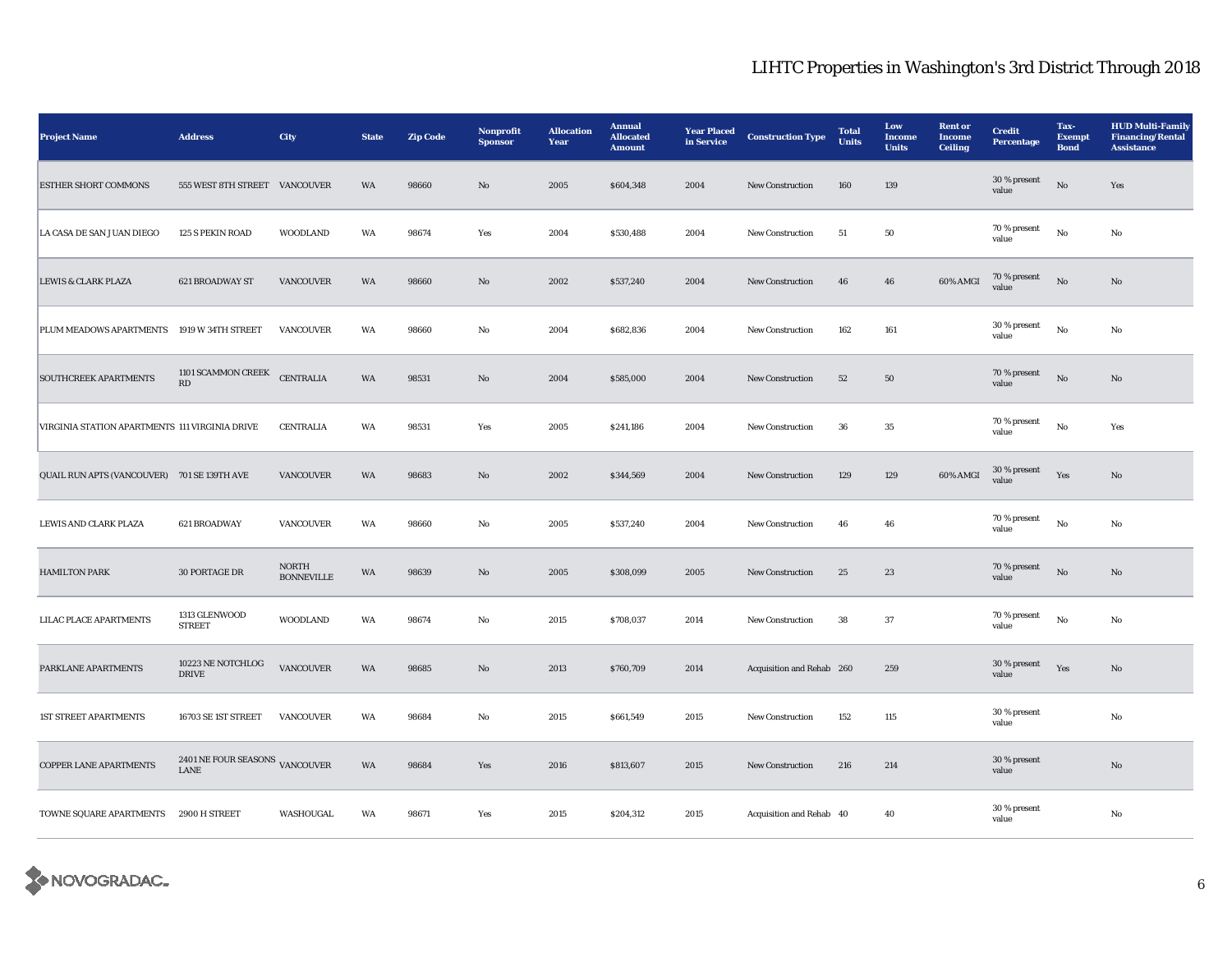| <b>Project Name</b>                            | <b>Address</b>                               | <b>City</b>                       | <b>State</b> | <b>Zip Code</b> | <b>Nonprofit</b><br><b>Sponsor</b> | <b>Allocation</b><br>Year | <b>Annual</b><br><b>Allocated</b><br><b>Amount</b> | <b>Year Placed</b><br>in Service | <b>Construction Type</b>  | <b>Total</b><br><b>Units</b> | Low<br><b>Income</b><br><b>Units</b> | <b>Rent or</b><br><b>Income</b><br><b>Ceiling</b> | <b>Credit</b><br><b>Percentage</b> | Tax-<br><b>Exempt</b><br><b>Bond</b> | <b>HUD Multi-Family</b><br><b>Financing/Rental</b><br><b>Assistance</b> |
|------------------------------------------------|----------------------------------------------|-----------------------------------|--------------|-----------------|------------------------------------|---------------------------|----------------------------------------------------|----------------------------------|---------------------------|------------------------------|--------------------------------------|---------------------------------------------------|------------------------------------|--------------------------------------|-------------------------------------------------------------------------|
| <b>ESTHER SHORT COMMONS</b>                    | 555 WEST 8TH STREET VANCOUVER                |                                   | WA           | 98660           | $\mathbf{N}\mathbf{o}$             | 2005                      | \$604,348                                          | 2004                             | <b>New Construction</b>   | 160                          | 139                                  |                                                   | 30 % present<br>value              | $\rm No$                             | Yes                                                                     |
| LA CASA DE SAN JUAN DIEGO                      | 125 S PEKIN ROAD                             | WOODLAND                          | WA           | 98674           | Yes                                | 2004                      | \$530,488                                          | 2004                             | <b>New Construction</b>   | ${\bf 51}$                   | ${\bf 50}$                           |                                                   | 70 % present<br>value              | $_{\rm No}$                          | No                                                                      |
| <b>LEWIS &amp; CLARK PLAZA</b>                 | 621 BROADWAY ST                              | <b>VANCOUVER</b>                  | WA           | 98660           | $\mathbf{N}\mathbf{o}$             | 2002                      | \$537,240                                          | 2004                             | <b>New Construction</b>   | 46                           | 46                                   | 60% AMGI                                          | 70 % present<br>value              | $\rm \bf No$                         | No                                                                      |
| PLUM MEADOWS APARTMENTS                        | 1919 W 34TH STREET                           | <b>VANCOUVER</b>                  | WA           | 98660           | No                                 | 2004                      | \$682,836                                          | 2004                             | <b>New Construction</b>   | 162                          | 161                                  |                                                   | 30 % present<br>value              | $_{\rm No}$                          | No                                                                      |
| <b>SOUTHCREEK APARTMENTS</b>                   | 1101 SCAMMON CREEK<br>$\mathbf{R}\mathbf{D}$ | <b>CENTRALIA</b>                  | WA           | 98531           | $\mathbf{N}\mathbf{o}$             | 2004                      | \$585,000                                          | 2004                             | New Construction          | $52\,$                       | ${\bf 50}$                           |                                                   | 70 % present<br>value              | $\rm No$                             | $\mathbf{N}\mathbf{o}$                                                  |
| VIRGINIA STATION APARTMENTS 111 VIRGINIA DRIVE |                                              | <b>CENTRALIA</b>                  | WA           | 98531           | Yes                                | 2005                      | \$241,186                                          | 2004                             | New Construction          | ${\bf 36}$                   | $35\,$                               |                                                   | 70 % present<br>value              | $\rm\thinspace No$                   | Yes                                                                     |
| QUAIL RUN APTS (VANCOUVER) 701 SE 139TH AVE    |                                              | <b>VANCOUVER</b>                  | WA           | 98683           | $\mathbf{No}$                      | 2002                      | \$344,569                                          | 2004                             | <b>New Construction</b>   | 129                          | 129                                  | 60% AMGI                                          | 30 % present<br>value              | Yes                                  | No                                                                      |
| LEWIS AND CLARK PLAZA                          | 621 BROADWAY                                 | <b>VANCOUVER</b>                  | WA           | 98660           | No                                 | 2005                      | \$537,240                                          | 2004                             | <b>New Construction</b>   | 46                           | 46                                   |                                                   | 70 % present<br>value              | No                                   | No                                                                      |
| <b>HAMILTON PARK</b>                           | 30 PORTAGE DR                                | <b>NORTH</b><br><b>BONNEVILLE</b> | WA           | 98639           | No                                 | 2005                      | \$308,099                                          | 2005                             | New Construction          | 25                           | 23                                   |                                                   | 70 % present<br>value              | $\rm No$                             | $\mathbf{N}\mathbf{o}$                                                  |
| LILAC PLACE APARTMENTS                         | 1313 GLENWOOD<br><b>STREET</b>               | <b>WOODLAND</b>                   | WA           | 98674           | No                                 | 2015                      | \$708,037                                          | 2014                             | New Construction          | 38                           | 37                                   |                                                   | 70 % present<br>value              | $\rm No$                             | No                                                                      |
| PARKLANE APARTMENTS                            | 10223 NE NOTCHLOG<br><b>DRIVE</b>            | <b>VANCOUVER</b>                  | WA           | 98685           | No                                 | 2013                      | \$760,709                                          | 2014                             | Acquisition and Rehab 260 |                              | 259                                  |                                                   | 30 % present<br>value              | Yes                                  | No                                                                      |
| <b>1ST STREET APARTMENTS</b>                   | 16703 SE 1ST STREET                          | <b>VANCOUVER</b>                  | WA           | 98684           | No                                 | 2015                      | \$661,549                                          | 2015                             | <b>New Construction</b>   | 152                          | 115                                  |                                                   | 30 % present<br>value              |                                      | No                                                                      |
| <b>COPPER LANE APARTMENTS</b>                  | 2401 NE FOUR SEASONS VANCOUVER<br>LANE       |                                   | WA           | 98684           | Yes                                | 2016                      | \$813,607                                          | 2015                             | New Construction          | 216                          | 214                                  |                                                   | 30 % present<br>value              |                                      | $\mathbf{N}\mathbf{o}$                                                  |
| TOWNE SQUARE APARTMENTS 2900 H STREET          |                                              | WASHOUGAL                         | WA           | 98671           | Yes                                | 2015                      | \$204,312                                          | 2015                             | Acquisition and Rehab 40  |                              | 40                                   |                                                   | 30 % present<br>value              |                                      | No                                                                      |

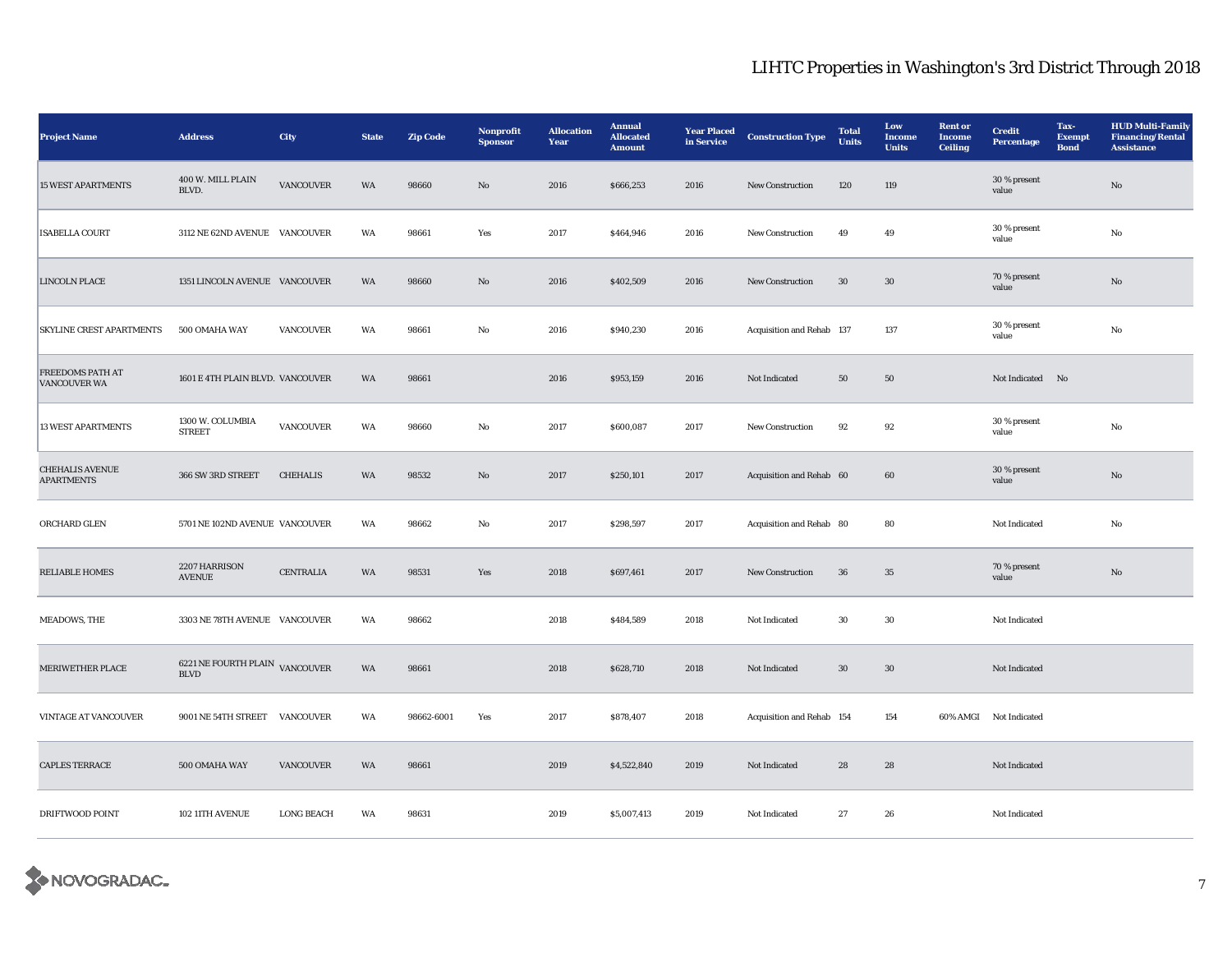| <b>Project Name</b>                            | <b>Address</b>                                | City              | <b>State</b> | <b>Zip Code</b> | Nonprofit<br><b>Sponsor</b> | <b>Allocation</b><br>Year | <b>Annual</b><br><b>Allocated</b><br><b>Amount</b> | <b>Year Placed</b><br>in Service | <b>Construction Type</b>  | <b>Total</b><br>Units | Low<br><b>Income</b><br><b>Units</b> | <b>Rent or</b><br><b>Income</b><br><b>Ceiling</b> | <b>Credit</b><br><b>Percentage</b> | Tax-<br><b>Exempt</b><br><b>Bond</b> | <b>HUD Multi-Family</b><br><b>Financing/Rental</b><br><b>Assistance</b> |
|------------------------------------------------|-----------------------------------------------|-------------------|--------------|-----------------|-----------------------------|---------------------------|----------------------------------------------------|----------------------------------|---------------------------|-----------------------|--------------------------------------|---------------------------------------------------|------------------------------------|--------------------------------------|-------------------------------------------------------------------------|
| <b>15 WEST APARTMENTS</b>                      | 400 W. MILL PLAIN<br>BLVD.                    | VANCOUVER         | WA           | 98660           | $\mathbf{N}\mathbf{o}$      | 2016                      | \$666,253                                          | 2016                             | New Construction          | 120                   | 119                                  |                                                   | 30 % present<br>value              |                                      | $\mathbf{No}$                                                           |
| <b>ISABELLA COURT</b>                          | 3112 NE 62ND AVENUE VANCOUVER                 |                   | WA           | 98661           | Yes                         | 2017                      | \$464,946                                          | 2016                             | New Construction          | 49                    | 49                                   |                                                   | 30 % present<br>value              |                                      | No                                                                      |
| <b>LINCOLN PLACE</b>                           | 1351 LINCOLN AVENUE VANCOUVER                 |                   | WA           | 98660           | No                          | 2016                      | \$402,509                                          | 2016                             | <b>New Construction</b>   | 30                    | 30                                   |                                                   | 70 % present<br>value              |                                      | No                                                                      |
| <b>SKYLINE CREST APARTMENTS</b>                | 500 OMAHA WAY                                 | <b>VANCOUVER</b>  | WA           | 98661           | No                          | 2016                      | \$940,230                                          | 2016                             | Acquisition and Rehab 137 |                       | 137                                  |                                                   | 30 % present<br>value              |                                      | No                                                                      |
| <b>FREEDOMS PATH AT</b><br><b>VANCOUVER WA</b> | 1601 E 4TH PLAIN BLVD. VANCOUVER              |                   | WA           | 98661           |                             | 2016                      | \$953,159                                          | 2016                             | Not Indicated             | 50                    | 50                                   |                                                   | Not Indicated No                   |                                      |                                                                         |
| <b>13 WEST APARTMENTS</b>                      | 1300 W. COLUMBIA<br><b>STREET</b>             | <b>VANCOUVER</b>  | WA           | 98660           | No                          | 2017                      | \$600,087                                          | 2017                             | New Construction          | 92                    | 92                                   |                                                   | 30 % present<br>value              |                                      | No                                                                      |
| <b>CHEHALIS AVENUE</b><br><b>APARTMENTS</b>    | 366 SW 3RD STREET                             | <b>CHEHALIS</b>   | WA           | 98532           | No                          | 2017                      | \$250,101                                          | 2017                             | Acquisition and Rehab 60  |                       | 60                                   |                                                   | 30 % present<br>value              |                                      | No                                                                      |
| ORCHARD GLEN                                   | 5701 NE 102ND AVENUE VANCOUVER                |                   | WA           | 98662           | No                          | 2017                      | \$298,597                                          | 2017                             | Acquisition and Rehab 80  |                       | 80                                   |                                                   | Not Indicated                      |                                      | No                                                                      |
| <b>RELIABLE HOMES</b>                          | 2207 HARRISON<br><b>AVENUE</b>                | <b>CENTRALIA</b>  | WA           | 98531           | Yes                         | 2018                      | \$697,461                                          | 2017                             | New Construction          | 36                    | $35\,$                               |                                                   | 70 % present<br>value              |                                      | $\mathbf{N}\mathbf{o}$                                                  |
| MEADOWS, THE                                   | 3303 NE 78TH AVENUE VANCOUVER                 |                   | WA           | 98662           |                             | 2018                      | \$484,589                                          | 2018                             | Not Indicated             | 30                    | $30\,$                               |                                                   | Not Indicated                      |                                      |                                                                         |
| MERIWETHER PLACE                               | 6221 NE FOURTH PLAIN VANCOUVER<br><b>BLVD</b> |                   | WA           | 98661           |                             | 2018                      | \$628,710                                          | 2018                             | Not Indicated             | $30\,$                | $30\,$                               |                                                   | Not Indicated                      |                                      |                                                                         |
| VINTAGE AT VANCOUVER                           | 9001 NE 54TH STREET VANCOUVER                 |                   | WA           | 98662-6001      | Yes                         | 2017                      | \$878,407                                          | 2018                             | Acquisition and Rehab 154 |                       | 154                                  |                                                   | 60% AMGI Not Indicated             |                                      |                                                                         |
| <b>CAPLES TERRACE</b>                          | 500 OMAHA WAY                                 | <b>VANCOUVER</b>  | WA           | 98661           |                             | 2019                      | \$4,522,840                                        | 2019                             | Not Indicated             | 28                    | 28                                   |                                                   | Not Indicated                      |                                      |                                                                         |
| DRIFTWOOD POINT                                | 102 11TH AVENUE                               | <b>LONG BEACH</b> | WA           | 98631           |                             | 2019                      | \$5,007,413                                        | 2019                             | Not Indicated             | 27                    | 26                                   |                                                   | Not Indicated                      |                                      |                                                                         |